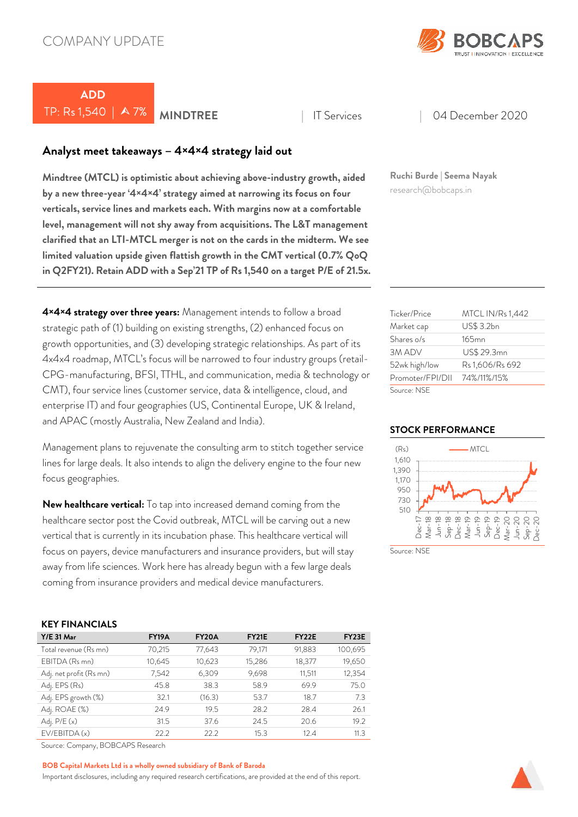

# **ADD**  TP: Rs 1,540 | A 7% | MINDTREE | IT Services | 04 December 2020

## **Analyst meet takeaways – 4×4×4 strategy laid out**

**Mindtree (MTCL) is optimistic about achieving above-industry growth, aided by a new three-year '4×4×4' strategy aimed at narrowing its focus on four verticals, service lines and markets each. With margins now at a comfortable level, management will not shy away from acquisitions. The L&T management clarified that an LTI-MTCL merger is not on the cards in the midterm. We see limited valuation upside given flattish growth in the CMT vertical (0.7% QoQ in Q2FY21). Retain ADD with a Sep'21 TP of Rs 1,540 on a target P/E of 21.5x.**

**4×4×4 strategy over three years:** Management intends to follow a broad strategic path of (1) building on existing strengths, (2) enhanced focus on growth opportunities, and (3) developing strategic relationships. As part of its 4x4x4 roadmap, MTCL's focus will be narrowed to four industry groups (retail-CPG-manufacturing, BFSI, TTHL, and communication, media & technology or CMT), four service lines (customer service, data & intelligence, cloud, and enterprise IT) and four geographies (US, Continental Europe, UK & Ireland, and APAC (mostly Australia, New Zealand and India).

Management plans to rejuvenate the consulting arm to stitch together service lines for large deals. It also intends to align the delivery engine to the four new focus geographies.

**New healthcare vertical:** To tap into increased demand coming from the healthcare sector post the Covid outbreak, MTCL will be carving out a new vertical that is currently in its incubation phase. This healthcare vertical will focus on payers, device manufacturers and insurance providers, but will stay away from life sciences. Work here has already begun with a few large deals coming from insurance providers and medical device manufacturers.

## **KEY FINANCIALS**

| $Y/E$ 31 Mar            | <b>FY19A</b> | FY <sub>20</sub> A | <b>FY21E</b> | FY <sub>22</sub> E | FY23E   |
|-------------------------|--------------|--------------------|--------------|--------------------|---------|
| Total revenue (Rs mn)   | 70,215       | 77,643             | 79,171       | 91,883             | 100,695 |
| EBITDA (Rs mn)          | 10,645       | 10,623             | 15,286       | 18,377             | 19,650  |
| Adj. net profit (Rs mn) | 7,542        | 6,309              | 9,698        | 11,511             | 12,354  |
| Adj. EPS (Rs)           | 45.8         | 38.3               | 58.9         | 69.9               | 75.0    |
| Adj. EPS growth (%)     | 32.1         | (16.3)             | 53.7         | 18.7               | 7.3     |
| Adj. ROAE (%)           | 24.9         | 19.5               | 28.2         | 28.4               | 26.1    |
| Adj. $P/E(x)$           | 31.5         | 37.6               | 24.5         | 20.6               | 19.2    |
| EV/EBITDA (x)           | 22.2         | 22.2               | 15.3         | 12.4               | 11.3    |

Source: Company, BOBCAPS Research

#### **BOB Capital Markets Ltd is a wholly owned subsidiary of Bank of Baroda**

Important disclosures, including any required research certifications, are provided at the end of this report.

**Ruchi Burde | Seema Nayak** research@bobcaps.in

| Ticker/Price     | <b>MTCL IN/Rs 1,442</b> |
|------------------|-------------------------|
| Market cap       | US\$ 3.2bn              |
| Shares o/s       | $165$ mn                |
| 3M ADV           | US\$ 29.3mn             |
| 52wk high/low    | Rs 1,606/Rs 692         |
| Promoter/FPI/DII | 74%/11%/15%             |
| Source: NSF      |                         |

### **STOCK PERFORMANCE**



Source: NSF

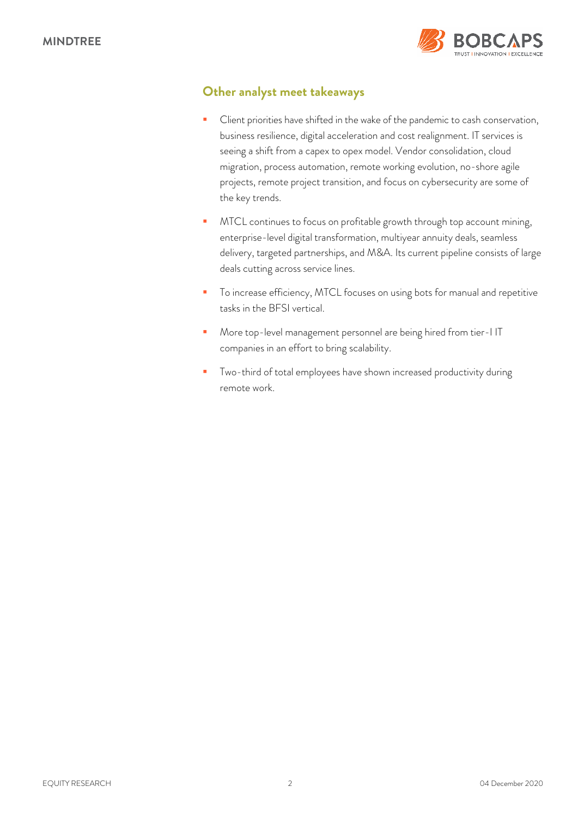

## **Other analyst meet takeaways**

- Client priorities have shifted in the wake of the pandemic to cash conservation, business resilience, digital acceleration and cost realignment. IT services is seeing a shift from a capex to opex model. Vendor consolidation, cloud migration, process automation, remote working evolution, no-shore agile projects, remote project transition, and focus on cybersecurity are some of the key trends.
- MTCL continues to focus on profitable growth through top account mining, enterprise-level digital transformation, multiyear annuity deals, seamless delivery, targeted partnerships, and M&A. Its current pipeline consists of large deals cutting across service lines.
- **T** To increase efficiency, MTCL focuses on using bots for manual and repetitive tasks in the BFSI vertical.
- **More top-level management personnel are being hired from tier-I IT** companies in an effort to bring scalability.
- **Two-third of total employees have shown increased productivity during** remote work.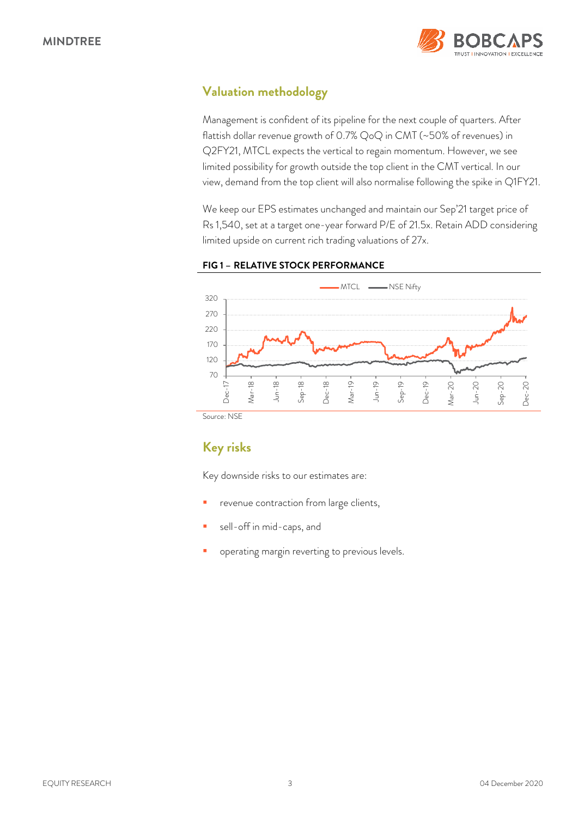

# **Valuation methodology**

Management is confident of its pipeline for the next couple of quarters. After flattish dollar revenue growth of 0.7% QoQ in CMT (~50% of revenues) in Q2FY21, MTCL expects the vertical to regain momentum. However, we see limited possibility for growth outside the top client in the CMT vertical. In our view, demand from the top client will also normalise following the spike in Q1FY21.

We keep our EPS estimates unchanged and maintain our Sep'21 target price of Rs 1,540, set at a target one-year forward P/E of 21.5x. Retain ADD considering limited upside on current rich trading valuations of 27x.



## **FIG 1 – RELATIVE STOCK PERFORMANCE**

Source: NSE

# **Key risks**

Key downside risks to our estimates are:

- revenue contraction from large clients,
- sell-off in mid-caps, and
- operating margin reverting to previous levels.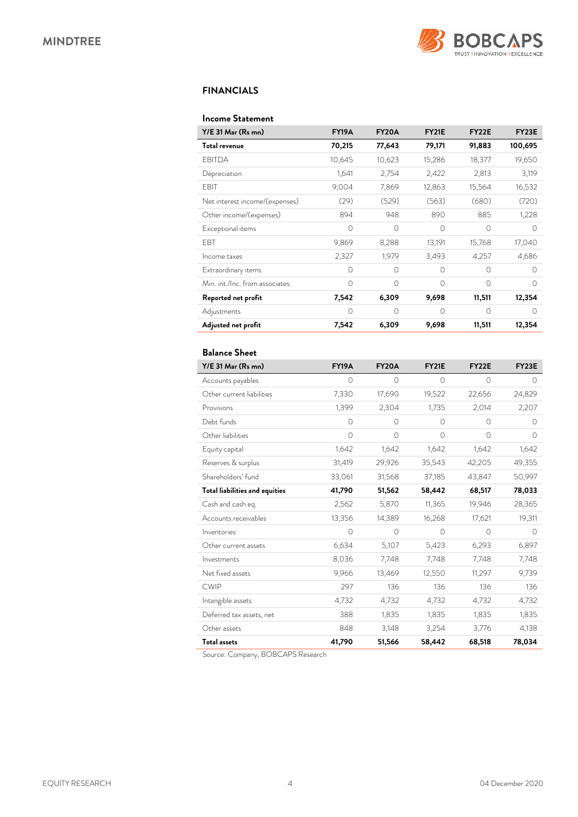

### **FINANCIALS**

### **Income Statement**

| Y/E 31 Mar (Rs mn)             | <b>FY19A</b> | FY20A     | <b>FY21E</b> | FY <sub>22</sub> E | FY23E     |
|--------------------------------|--------------|-----------|--------------|--------------------|-----------|
| Total revenue                  | 70,215       | 77,643    | 79,171       | 91,883             | 100,695   |
| EBITDA                         | 10,645       | 10,623    | 15,286       | 18,377             | 19,650    |
| Depreciation                   | 1,641        | 2,754     | 2,422        | 2,813              | 3,119     |
| EBIT                           | 9,004        | 7,869     | 12,863       | 15,564             | 16,532    |
| Net interest income/(expenses) | (29)         | (529)     | (563)        | (680)              | (720)     |
| Other income/(expenses)        | 894          | 948       | 890          | 885                | 1,228     |
| Exceptional items              | $\bigcap$    | $\Omega$  | $\Omega$     | $\bigcap$          | ∩         |
| <b>FBT</b>                     | 9,869        | 8,288     | 13,191       | 15,768             | 17,040    |
| Income taxes                   | 2,327        | 1,979     | 3,493        | 4,257              | 4,686     |
| Extraordinary items            | $\Omega$     | $\Omega$  | $\Omega$     | $\Omega$           | $\bigcap$ |
| Min. int./Inc. from associates | $\bigcap$    | $\bigcap$ | $\bigcap$    | $\bigcap$          | ∩         |
| Reported net profit            | 7,542        | 6,309     | 9,698        | 11,511             | 12,354    |
| Adjustments                    | $\Omega$     | $\Omega$  | $\Omega$     | $\Omega$           | $\bigcap$ |
| Adjusted net profit            | 7,542        | 6,309     | 9,698        | 11,511             | 12,354    |

## **Balance Sheet**

| Y/E 31 Mar (Rs mn)                    | <b>FY19A</b> | <b>FY20A</b> | <b>FY21E</b> | FY22E    | FY23E      |
|---------------------------------------|--------------|--------------|--------------|----------|------------|
| Accounts payables                     | 0            | 0            | 0            | 0        | 0          |
| Other current liabilities             | 7,330        | 17,690       | 19,522       | 22,656   | 24,829     |
| Provisions                            | 1,399        | 2,304        | 1,735        | 2,014    | 2,207      |
| Debt funds                            | $\circ$      | $\Omega$     | $\circ$      | 0        | $\Omega$   |
| Other liabilities                     | $\circ$      | $\circ$      | $\circ$      | $\circ$  | $\circ$    |
| Equity capital                        | 1,642        | 1,642        | 1,642        | 1,642    | 1,642      |
| Reserves & surplus                    | 31,419       | 29,926       | 35,543       | 42,205   | 49,355     |
| Shareholders' fund                    | 33,061       | 31,568       | 37,185       | 43,847   | 50,997     |
| <b>Total liabilities and equities</b> | 41,790       | 51,562       | 58,442       | 68,517   | 78,033     |
| Cash and cash eq.                     | 2,562        | 5,870        | 11,365       | 19,946   | 28,365     |
| Accounts receivables                  | 13,356       | 14,389       | 16,268       | 17,621   | 19,311     |
| Inventories                           | $\Omega$     | $\Omega$     | $\Omega$     | $\Omega$ | $\bigcirc$ |
| Other current assets                  | 6,634        | 5,107        | 5,423        | 6,293    | 6,897      |
| Investments                           | 8,036        | 7,748        | 7,748        | 7,748    | 7,748      |
| Net fixed assets                      | 9,966        | 13,469       | 12,550       | 11,297   | 9,739      |
| <b>CWIP</b>                           | 297          | 136          | 136          | 136      | 136        |
| Intangible assets                     | 4,732        | 4,732        | 4,732        | 4,732    | 4,732      |
| Deferred tax assets, net              | 388          | 1,835        | 1,835        | 1,835    | 1,835      |
| Other assets                          | 848          | 3,148        | 3,254        | 3,776    | 4,138      |
| <b>Total assets</b>                   | 41,790       | 51,566       | 58,442       | 68,518   | 78,034     |

Source: Company, BOBCAPS Research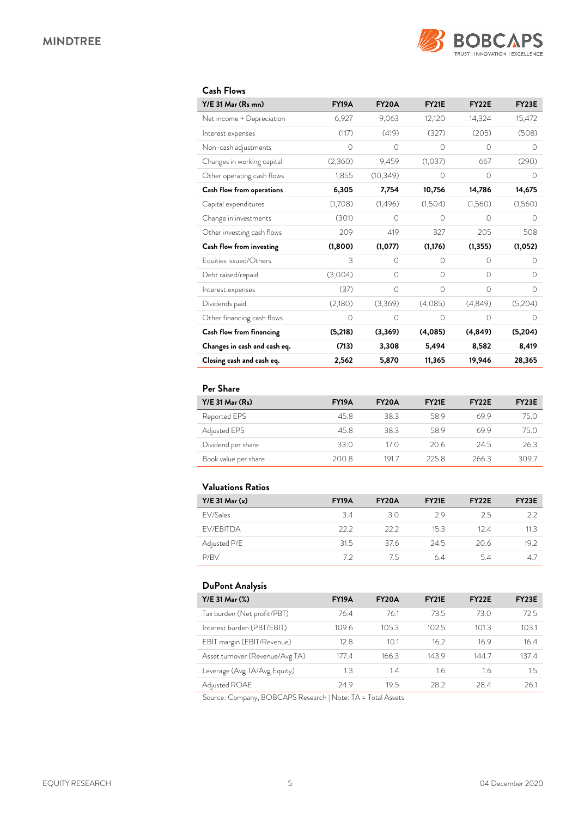

## **Cash Flows**

| Y/E 31 Mar (Rs mn)           | <b>FY19A</b> | <b>FY20A</b> | <b>FY21E</b> | FY <sub>22</sub> E | <b>FY23E</b> |
|------------------------------|--------------|--------------|--------------|--------------------|--------------|
| Net income + Depreciation    | 6,927        | 9,063        | 12,120       | 14,324             | 15,472       |
| Interest expenses            | (117)        | (419)        | (327)        | (205)              | (508)        |
| Non-cash adjustments         | $\circ$      | $\circ$      | 0            | $\circ$            | 0            |
| Changes in working capital   | (2,360)      | 9,459        | (1,037)      | 667                | (290)        |
| Other operating cash flows   | 1,855        | (10, 349)    | 0            | 0                  | 0            |
| Cash flow from operations    | 6,305        | 7,754        | 10,756       | 14,786             | 14,675       |
| Capital expenditures         | (1,708)      | (1,496)      | (1,504)      | (1,560)            | (1,560)      |
| Change in investments        | (301)        | $\bigcap$    | $\bigcap$    | $\bigcap$          | $\bigcap$    |
| Other investing cash flows   | 209          | 419          | 327          | 205                | 508          |
| Cash flow from investing     | (1,800)      | (1,077)      | (1, 176)     | (1, 355)           | (1,052)      |
| Equities issued/Others       | 3            | $\Omega$     | $\Omega$     | 0                  | 0            |
| Debt raised/repaid           | (3,004)      | $\Omega$     | $\Omega$     | $\Omega$           | $\Omega$     |
| Interest expenses            | (37)         | $\Omega$     | $\Omega$     | $\Omega$           | $\Omega$     |
| Dividends paid               | (2,180)      | (3,369)      | (4,085)      | (4,849)            | (5,204)      |
| Other financing cash flows   | $\circ$      | 0            | $\Omega$     | $\Omega$           | $\Omega$     |
| Cash flow from financing     | (5,218)      | (3,369)      | (4,085)      | (4, 849)           | (5,204)      |
| Changes in cash and cash eq. | (713)        | 3,308        | 5,494        | 8,582              | 8,419        |
| Closing cash and cash eq.    | 2,562        | 5,870        | 11,365       | 19,946             | 28,365       |

## **Per Share**

| $Y/E$ 31 Mar $(Rs)$  | <b>FY19A</b> | <b>FY20A</b> | <b>FY21E</b> | FY <sub>2</sub> 2E | FY <sub>23</sub> E |
|----------------------|--------------|--------------|--------------|--------------------|--------------------|
| Reported EPS         | 45.8         | 38.3         | 58.9         | 699                | 75.0               |
| Adjusted EPS         | 45.8         | 383          | 589          | 69.9               | 75.O               |
| Dividend per share   | 33.0         | 17 O         | 206          | 24.5               | 26.3               |
| Book value per share | 200.8        | 1917         | 225.8        | 266.3              | 309.7              |

## **Valuations Ratios**

| $Y/E$ 31 Mar $(x)$ | <b>FY19A</b> | <b>FY20A</b> | <b>FY21E</b> | FY <sub>22</sub> E | FY <sub>23</sub> E |
|--------------------|--------------|--------------|--------------|--------------------|--------------------|
| FV/Sales           | 3.4          | 3.0          | 29           | 25                 | 22                 |
| <b>FV/FBITDA</b>   | 222          | 22.2         | 15.3         | 124                | 11.3               |
| Adjusted P/E       | 31.5         | 376          | 24.5         | 20.6               | 19.2               |
| P/RV               | フフ           | 75           | 64           | 54                 | 47                 |

## **DuPont Analysis**

| Y/E 31 Mar (%)                  | <b>FY19A</b> | <b>FY20A</b>    | <b>FY21E</b> | FY <sub>22</sub> E | FY <sub>23</sub> E |
|---------------------------------|--------------|-----------------|--------------|--------------------|--------------------|
| Tax burden (Net profit/PBT)     | 76.4         | 76.1            | 73.5         | 73.0               | 72.5               |
| Interest burden (PBT/EBIT)      | 109.6        | 105.3           | 102.5        | 101.3              | 103.1              |
| EBIT margin (EBIT/Revenue)      | 12.8         | 10.1            | 16.2         | 16.9               | 16.4               |
| Asset turnover (Revenue/Avg TA) | 177.4        | 166.3           | 143.9        | 144.7              | 137.4              |
| Leverage (Avg TA/Avg Equity)    | 1.3          | 1.4             | 1.6          | 1.6                | 1.5                |
| Adjusted ROAE                   | 24.9         | 19 <sub>5</sub> | 28.2         | 28.4               | 26.1               |

Source: Company, BOBCAPS Research | Note: TA = Total Assets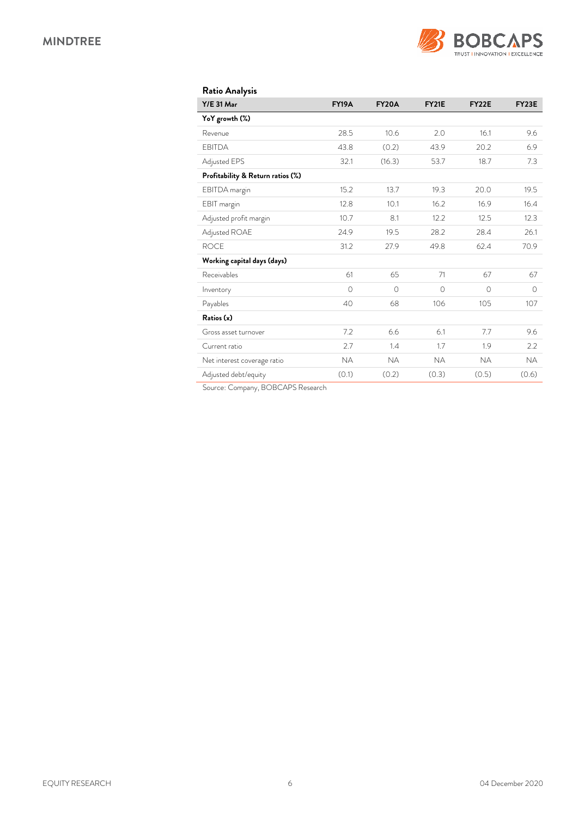

| <b>Ratio Analysis</b>             |              |              |              |           |              |
|-----------------------------------|--------------|--------------|--------------|-----------|--------------|
| <b>Y/E 31 Mar</b>                 | <b>FY19A</b> | <b>FY20A</b> | <b>FY21E</b> | FY22E     | <b>FY23E</b> |
| YoY growth (%)                    |              |              |              |           |              |
| Revenue                           | 28.5         | 10.6         | 2.0          | 16.1      | 9.6          |
| <b>EBITDA</b>                     | 43.8         | (0.2)        | 43.9         | 20.2      | 6.9          |
| Adjusted EPS                      | 32.1         | (16.3)       | 53.7         | 18.7      | 7.3          |
| Profitability & Return ratios (%) |              |              |              |           |              |
| EBITDA margin                     | 15.2         | 13.7         | 19.3         | 20.0      | 19.5         |
| EBIT margin                       | 12.8         | 10.1         | 16.2         | 16.9      | 16.4         |
| Adjusted profit margin            | 10.7         | 8.1          | 12.2         | 12.5      | 12.3         |
| Adjusted ROAE                     | 24.9         | 19.5         | 28.2         | 28.4      | 26.1         |
| <b>ROCE</b>                       | 31.2         | 27.9         | 49.8         | 62.4      | 70.9         |
| Working capital days (days)       |              |              |              |           |              |
| Receivables                       | 61           | 65           | 71           | 67        | 67           |
| Inventory                         | $\Omega$     | $\Omega$     | $\bigcirc$   | $\Omega$  | $\bigcirc$   |
| Payables                          | 40           | 68           | 106          | 105       | 107          |
| Ratios (x)                        |              |              |              |           |              |
| Gross asset turnover              | 7.2          | 6.6          | 6.1          | 7.7       | 9.6          |
| Current ratio                     | 2.7          | 1.4          | 1.7          | 1.9       | 2.2          |
| Net interest coverage ratio       | <b>NA</b>    | <b>NA</b>    | <b>NA</b>    | <b>NA</b> | <b>NA</b>    |
| Adjusted debt/equity              | (0.1)        | (0.2)        | (0.3)        | (0.5)     | (0.6)        |

Source: Company, BOBCAPS Research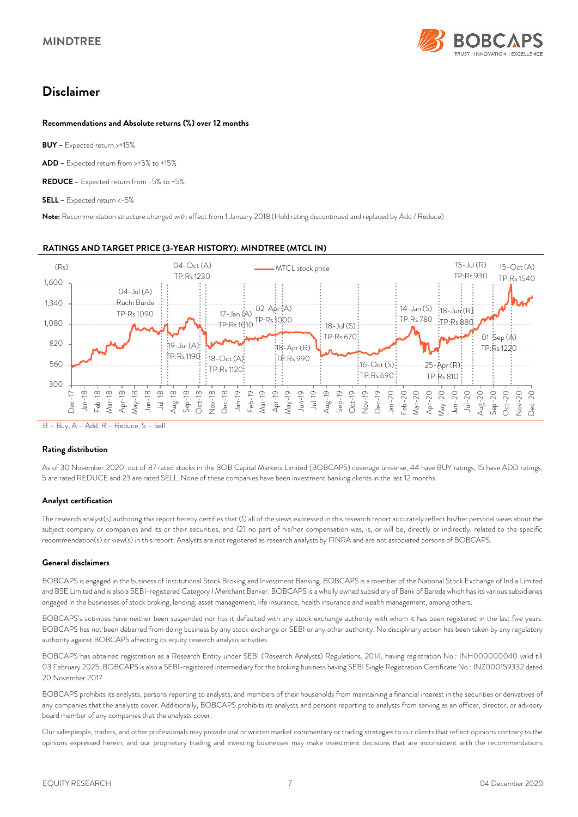

# **Disclaimer**

### **Recommendations and Absolute returns (%) over 12 months**

**BUY –** Expected return >+15%

**ADD –** Expected return from >+5% to +15%

**REDUCE –** Expected return from -5% to +5%

**SELL –** Expected return <-5%

**Note:** Recommendation structure changed with effect from 1 January 2018 (Hold rating discontinued and replaced by Add / Reduce)



### **RATINGS AND TARGET PRICE (3-YEAR HISTORY): MINDTREE (MTCL IN)**

B – Buy, A – Add, R – Reduce, S – Sell

### **Rating distribution**

As of 30 November 2020, out of 87 rated stocks in the BOB Capital Markets Limited (BOBCAPS) coverage universe, 44 have BUY ratings, 15 have ADD ratings, 5 are rated REDUCE and 23 are rated SELL. None of these companies have been investment banking clients in the last 12 months.

### **Analyst certification**

The research analyst(s) authoring this report hereby certifies that (1) all of the views expressed in this research report accurately reflect his/her personal views about the subject company or companies and its or their securities, and (2) no part of his/her compensation was, is, or will be, directly or indirectly, related to the specific recommendation(s) or view(s) in this report. Analysts are not registered as research analysts by FINRA and are not associated persons of BOBCAPS.

### **General disclaimers**

BOBCAPS is engaged in the business of Institutional Stock Broking and Investment Banking. BOBCAPS is a member of the National Stock Exchange of India Limited and BSE Limited and is also a SEBI-registered Category I Merchant Banker. BOBCAPS is a wholly owned subsidiary of Bank of Baroda which has its various subsidiaries engaged in the businesses of stock broking, lending, asset management, life insurance, health insurance and wealth management, among others.

BOBCAPS's activities have neither been suspended nor has it defaulted with any stock exchange authority with whom it has been registered in the last five years. BOBCAPS has not been debarred from doing business by any stock exchange or SEBI or any other authority. No disciplinary action has been taken by any regulatory authority against BOBCAPS affecting its equity research analysis activities.

BOBCAPS has obtained registration as a Research Entity under SEBI (Research Analysts) Regulations, 2014, having registration No.: INH000000040 valid till 03 February 2025. BOBCAPS is also a SEBI-registered intermediary for the broking business having SEBI Single Registration Certificate No.: INZ000159332 dated 20 November 2017.

BOBCAPS prohibits its analysts, persons reporting to analysts, and members of their households from maintaining a financial interest in the securities or derivatives of any companies that the analysts cover. Additionally, BOBCAPS prohibits its analysts and persons reporting to analysts from serving as an officer, director, or advisory board member of any companies that the analysts cover.

Our salespeople, traders, and other professionals may provide oral or written market commentary or trading strategies to our clients that reflect opinions contrary to the opinions expressed herein, and our proprietary trading and investing businesses may make investment decisions that are inconsistent with the recommendations